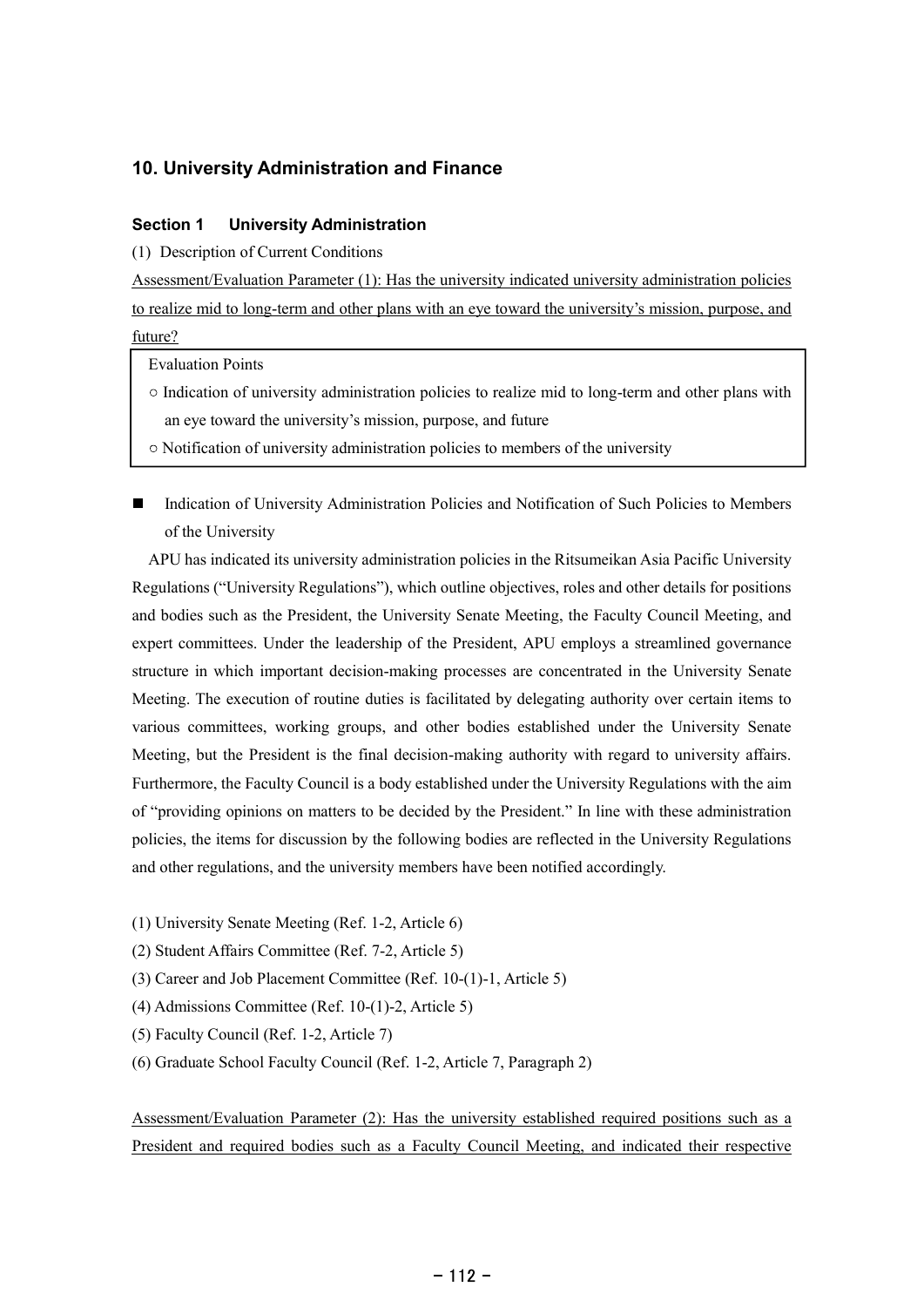# 10. University Administration and Finance

## Section 1 University Administration

(1) Description of Current Conditions

Assessment/Evaluation Parameter (1): Has the university indicated university administration policies to realize mid to long-term and other plans with an eye toward the university's mission, purpose, and future?

Evaluation Points

- $\circ$  Indication of university administration policies to realize mid to long-term and other plans with an eye toward the university's mission, purpose, and future
- Notification of university administration policies to members of the university
- $\blacksquare$ Indication of University Administration Policies and Notification of Such Policies to Members of the University

APU has indicated its university administration policies in the Ritsumeikan Asia Pacific University Regulations ("University Regulations"), which outline objectives, roles and other details for positions and bodies such as the President, the University Senate Meeting, the Faculty Council Meeting, and expert committees. Under the leadership of the President, APU employs a streamlined governance structure in which important decision-making processes are concentrated in the University Senate Meeting. The execution of routine duties is facilitated by delegating authority over certain items to various committees, working groups, and other bodies established under the University Senate Meeting, but the President is the final decision-making authority with regard to university affairs. Furthermore, the Faculty Council is a body established under the University Regulations with the aim of "providing opinions on matters to be decided by the President." In line with these administration policies, the items for discussion by the following bodies are reflected in the University Regulations and other regulations, and the university members have been notified accordingly.

- (1) University Senate Meeting (Ref. 1-2, Article 6)
- (2) Student Affairs Committee (Ref. 7-2, Article 5)
- (3) Career and Job Placement Committee (Ref. 10-(1)-1, Article 5)
- (4) Admissions Committee (Ref. 10-(1)-2, Article 5)
- (5) Faculty Council (Ref. 1-2, Article 7)
- (6) Graduate School Faculty Council (Ref. 1-2, Article 7, Paragraph 2)

Assessment/Evaluation Parameter (2): Has the university established required positions such as a President and required bodies such as a Faculty Council Meeting, and indicated their respective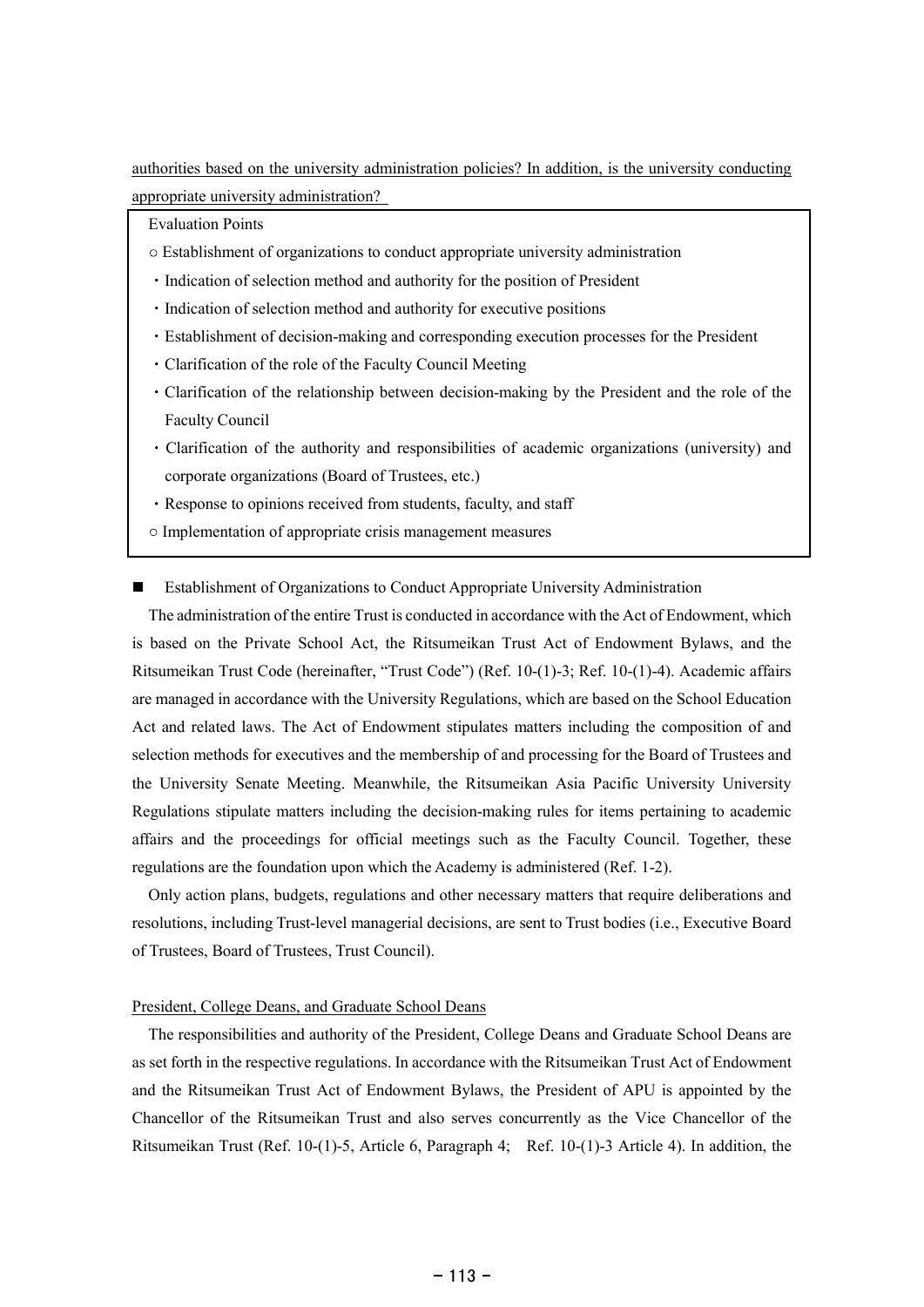authorities based on the university administration policies? In addition, is the university conducting appropriate university administration?

Evaluation Points

- Establishment of organizations to conduct appropriate university administration
- Indication of selection method and authority for the position of President
- Indication of selection method and authority for executive positions
- Establishment of decision-making and corresponding execution processes for the President
- Clarification of the role of the Faculty Council Meeting
- Clarification of the relationship between decision-making by the President and the role of the Faculty Council
- Clarification of the authority and responsibilities of academic organizations (university) and corporate organizations (Board of Trustees, etc.)
- Response to opinions received from students, faculty, and staff
- $\circ$  Implementation of appropriate crisis management measures

Establishment of Organizations to Conduct Appropriate University Administration

The administration of the entire Trust is conducted in accordance with the Act of Endowment, which is based on the Private School Act, the Ritsumeikan Trust Act of Endowment Bylaws, and the Ritsumeikan Trust Code (hereinafter, "Trust Code") (Ref. 10-(1)-3; Ref. 10-(1)-4). Academic affairs are managed in accordance with the University Regulations, which are based on the School Education Act and related laws. The Act of Endowment stipulates matters including the composition of and selection methods for executives and the membership of and processing for the Board of Trustees and the University Senate Meeting. Meanwhile, the Ritsumeikan Asia Pacific University University Regulations stipulate matters including the decision-making rules for items pertaining to academic affairs and the proceedings for official meetings such as the Faculty Council. Together, these regulations are the foundation upon which the Academy is administered (Ref. 1-2).

Only action plans, budgets, regulations and other necessary matters that require deliberations and resolutions, including Trust-level managerial decisions, are sent to Trust bodies (i.e., Executive Board of Trustees, Board of Trustees, Trust Council).

### President, College Deans, and Graduate School Deans

The responsibilities and authority of the President, College Deans and Graduate School Deans are as set forth in the respective regulations. In accordance with the Ritsumeikan Trust Act of Endowment and the Ritsumeikan Trust Act of Endowment Bylaws, the President of APU is appointed by the Chancellor of the Ritsumeikan Trust and also serves concurrently as the Vice Chancellor of the Ritsumeikan Trust (Ref. 10-(1)-5, Article 6, Paragraph 4; Ref. 10-(1)-3 Article 4). In addition, the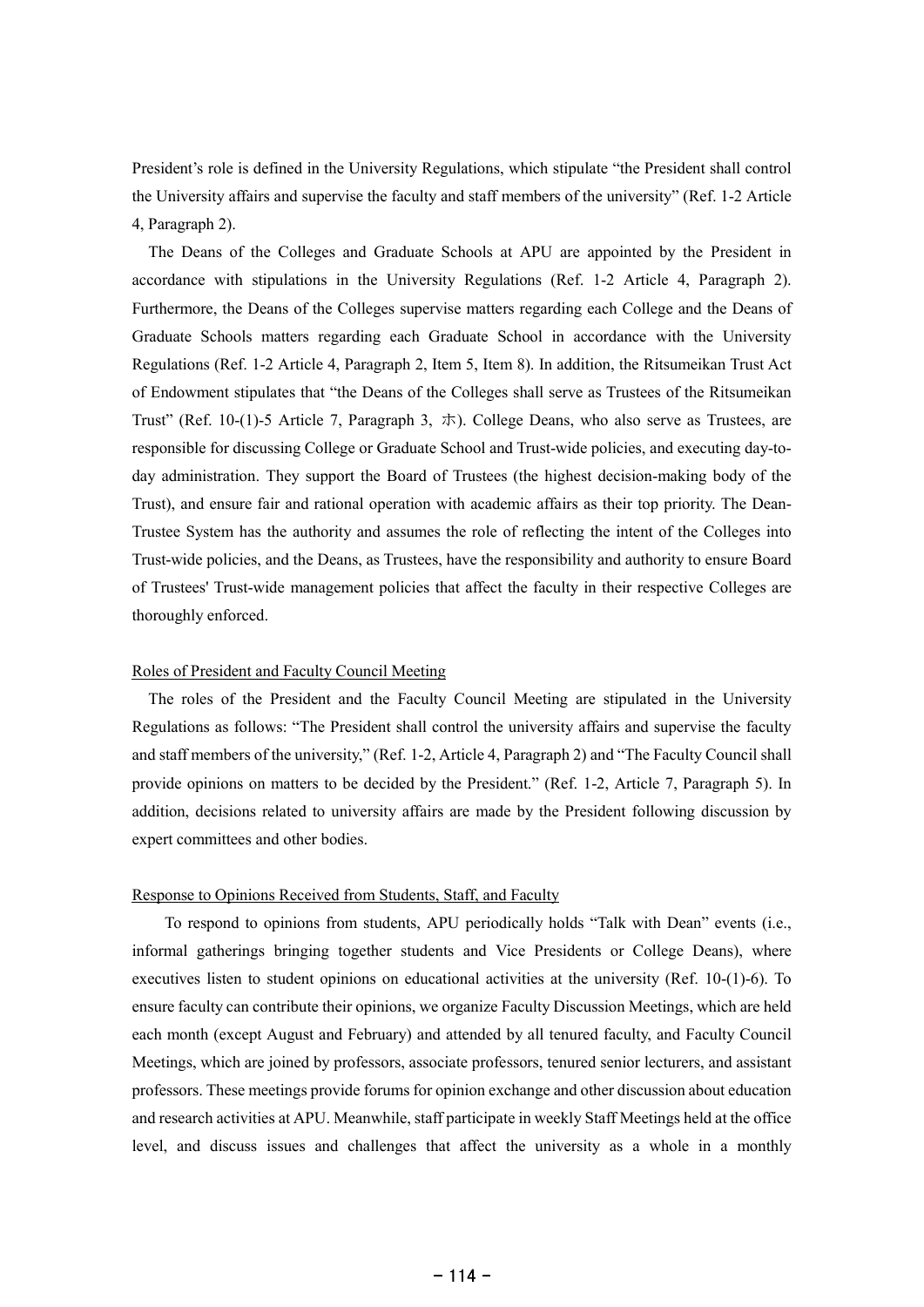President's role is defined in the University Regulations, which stipulate "the President shall control the University affairs and supervise the faculty and staff members of the university" (Ref. 1-2 Article 4, Paragraph 2).

The Deans of the Colleges and Graduate Schools at APU are appointed by the President in accordance with stipulations in the University Regulations (Ref. 1-2 Article 4, Paragraph 2). Furthermore, the Deans of the Colleges supervise matters regarding each College and the Deans of Graduate Schools matters regarding each Graduate School in accordance with the University Regulations (Ref. 1-2 Article 4, Paragraph 2, Item 5, Item 8). In addition, the Ritsumeikan Trust Act of Endowment stipulates that "the Deans of the Colleges shall serve as Trustees of the Ritsumeikan Trust" (Ref. 10-(1)-5 Article 7, Paragraph 3,  $\dot{\pi}$ ). College Deans, who also serve as Trustees, are responsible for discussing College or Graduate School and Trust-wide policies, and executing day-today administration. They support the Board of Trustees (the highest decision-making body of the Trust), and ensure fair and rational operation with academic affairs as their top priority. The Dean-Trustee System has the authority and assumes the role of reflecting the intent of the Colleges into Trust-wide policies, and the Deans, as Trustees, have the responsibility and authority to ensure Board of Trustees' Trust-wide management policies that affect the faculty in their respective Colleges are thoroughly enforced.

## Roles of President and Faculty Council Meeting

The roles of the President and the Faculty Council Meeting are stipulated in the University Regulations as follows: "The President shall control the university affairs and supervise the faculty and staff members of the university," (Ref. 1-2, Article 4, Paragraph 2) and "The Faculty Council shall provide opinions on matters to be decided by the President." (Ref. 1-2, Article 7, Paragraph 5). In addition, decisions related to university affairs are made by the President following discussion by expert committees and other bodies.

## Response to Opinions Received from Students, Staff, and Faculty

To respond to opinions from students, APU periodically holds "Talk with Dean" events (i.e., informal gatherings bringing together students and Vice Presidents or College Deans), where executives listen to student opinions on educational activities at the university (Ref. 10-(1)-6). To ensure faculty can contribute their opinions, we organize Faculty Discussion Meetings, which are held each month (except August and February) and attended by all tenured faculty, and Faculty Council Meetings, which are joined by professors, associate professors, tenured senior lecturers, and assistant professors. These meetings provide forums for opinion exchange and other discussion about education and research activities at APU. Meanwhile, staff participate in weekly Staff Meetings held at the office level, and discuss issues and challenges that affect the university as a whole in a monthly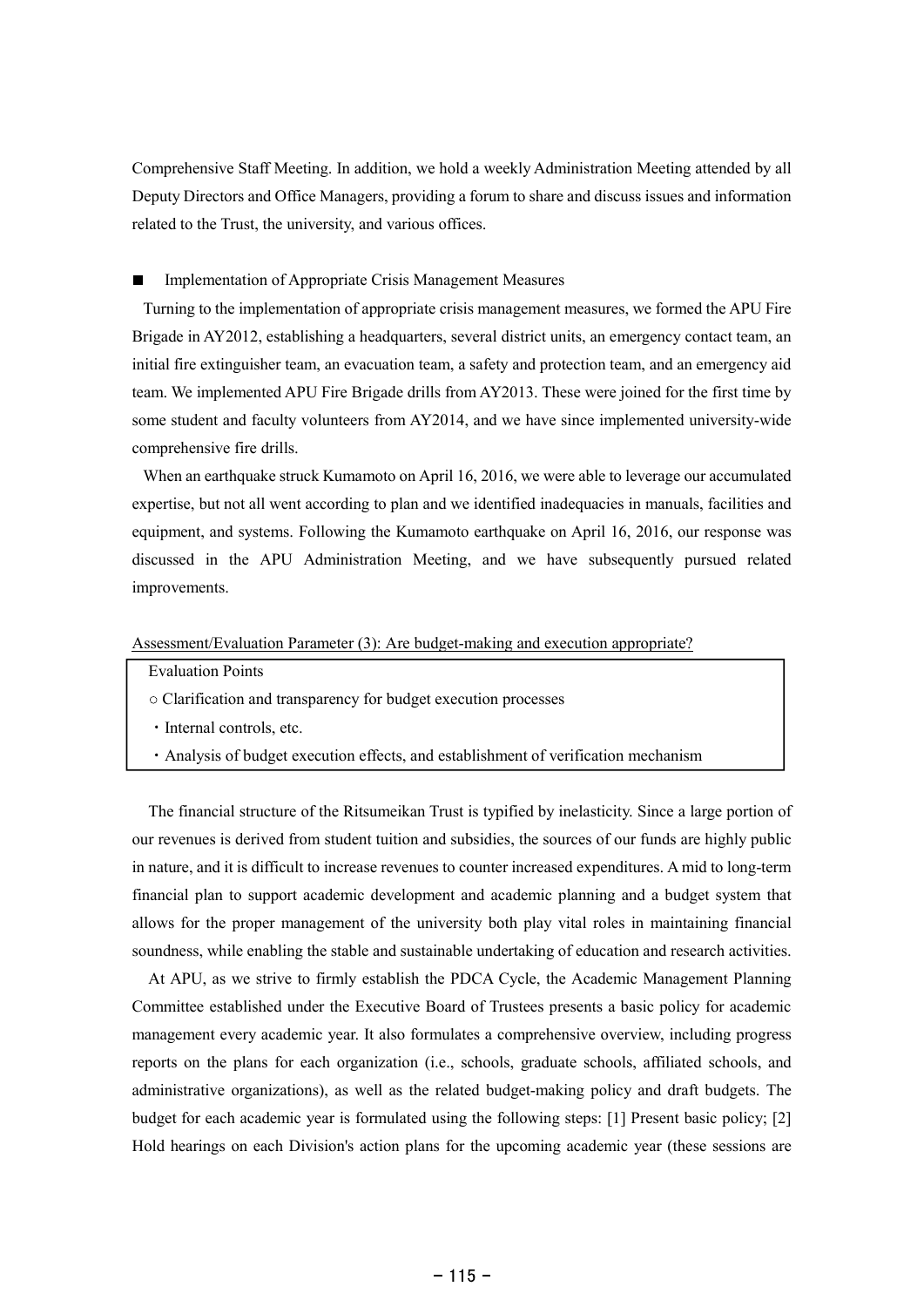Comprehensive Staff Meeting. In addition, we hold a weekly Administration Meeting attended by all Deputy Directors and Office Managers, providing a forum to share and discuss issues and information related to the Trust, the university, and various offices.

## Implementation of Appropriate Crisis Management Measures

Turning to the implementation of appropriate crisis management measures, we formed the APU Fire Brigade in AY2012, establishing a headquarters, several district units, an emergency contact team, an initial fire extinguisher team, an evacuation team, a safety and protection team, and an emergency aid team. We implemented APU Fire Brigade drills from AY2013. These were joined for the first time by some student and faculty volunteers from AY2014, and we have since implemented university-wide comprehensive fire drills.

When an earthquake struck Kumamoto on April 16, 2016, we were able to leverage our accumulated expertise, but not all went according to plan and we identified inadequacies in manuals, facilities and equipment, and systems. Following the Kumamoto earthquake on April 16, 2016, our response was discussed in the APU Administration Meeting, and we have subsequently pursued related improvements.

## Assessment/Evaluation Parameter (3): Are budget-making and execution appropriate?

- Evaluation Points
- Clarification and transparency for budget execution processes
- Internal controls, etc.
- Analysis of budget execution effects, and establishment of verification mechanism

The financial structure of the Ritsumeikan Trust is typified by inelasticity. Since a large portion of our revenues is derived from student tuition and subsidies, the sources of our funds are highly public in nature, and it is difficult to increase revenues to counter increased expenditures. A mid to long-term financial plan to support academic development and academic planning and a budget system that allows for the proper management of the university both play vital roles in maintaining financial soundness, while enabling the stable and sustainable undertaking of education and research activities.

At APU, as we strive to firmly establish the PDCA Cycle, the Academic Management Planning Committee established under the Executive Board of Trustees presents a basic policy for academic management every academic year. It also formulates a comprehensive overview, including progress reports on the plans for each organization (i.e., schools, graduate schools, affiliated schools, and administrative organizations), as well as the related budget-making policy and draft budgets. The budget for each academic year is formulated using the following steps: [1] Present basic policy; [2] Hold hearings on each Division's action plans for the upcoming academic year (these sessions are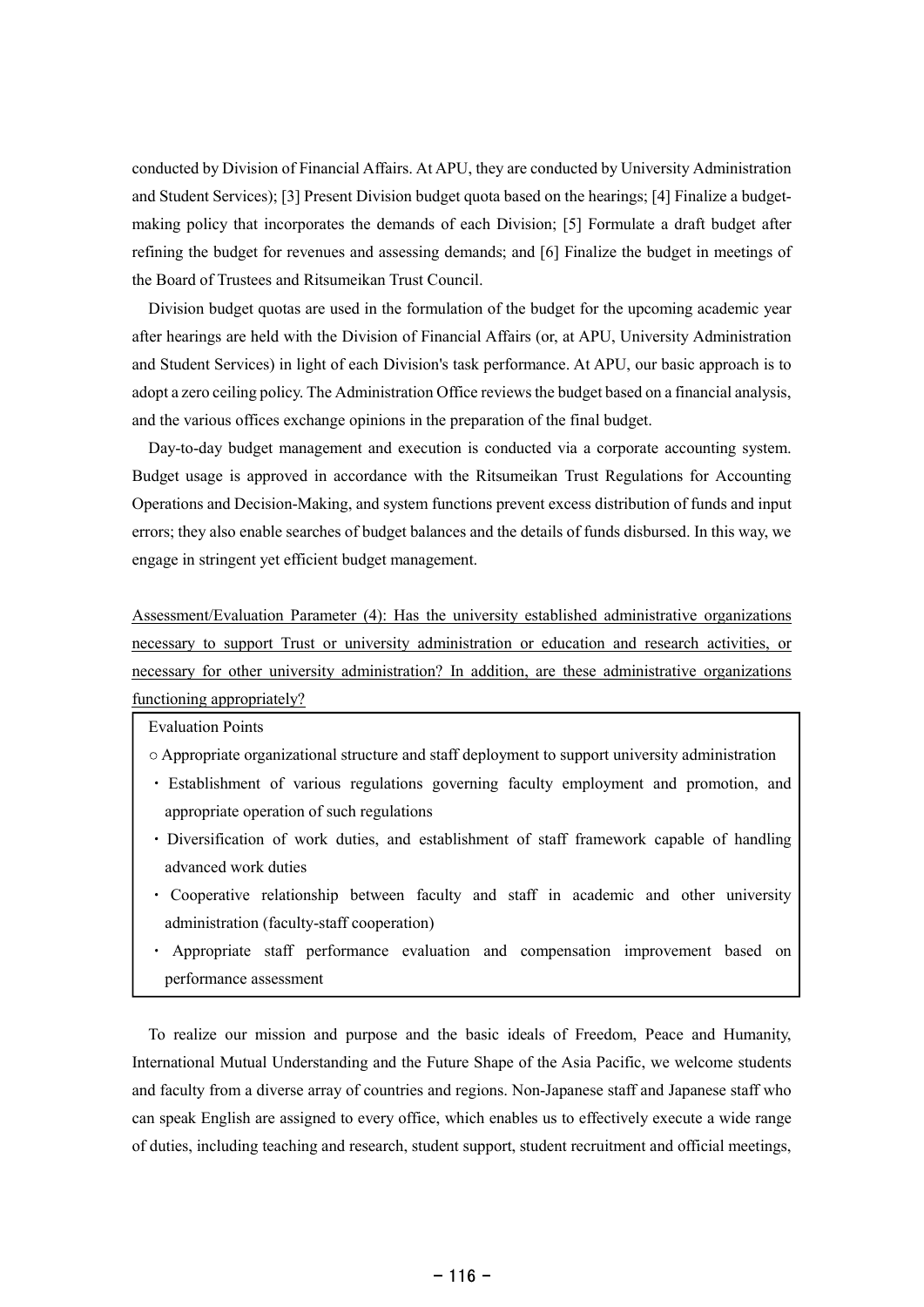conducted by Division of Financial Affairs. At APU, they are conducted by University Administration and Student Services); [3] Present Division budget quota based on the hearings; [4] Finalize a budgetmaking policy that incorporates the demands of each Division; [5] Formulate a draft budget after refining the budget for revenues and assessing demands; and [6] Finalize the budget in meetings of the Board of Trustees and Ritsumeikan Trust Council.

Division budget quotas are used in the formulation of the budget for the upcoming academic year after hearings are held with the Division of Financial Affairs (or, at APU, University Administration and Student Services) in light of each Division's task performance. At APU, our basic approach is to adopt a zero ceiling policy. The Administration Office reviewsthe budget based on a financial analysis, and the various offices exchange opinions in the preparation of the final budget.

Day-to-day budget management and execution is conducted via a corporate accounting system. Budget usage is approved in accordance with the Ritsumeikan Trust Regulations for Accounting Operations and Decision-Making, and system functions prevent excess distribution of funds and input errors; they also enable searches of budget balances and the details of funds disbursed. In this way, we engage in stringent yet efficient budget management.

Assessment/Evaluation Parameter (4): Has the university established administrative organizations necessary to support Trust or university administration or education and research activities, or necessary for other university administration? In addition, are these administrative organizations functioning appropriately?

Evaluation Points

- Appropriate organizational structure and staff deployment to support university administration
- Establishment of various regulations governing faculty employment and promotion, and appropriate operation of such regulations
- Diversification of work duties, and establishment of staff framework capable of handling advanced work duties
- Cooperative relationship between faculty and staff in academic and other university administration (faculty-staff cooperation)
- Appropriate staff performance evaluation and compensation improvement based on performance assessment

To realize our mission and purpose and the basic ideals of Freedom, Peace and Humanity, International Mutual Understanding and the Future Shape of the Asia Pacific, we welcome students and faculty from a diverse array of countries and regions. Non-Japanese staff and Japanese staff who can speak English are assigned to every office, which enables us to effectively execute a wide range of duties, including teaching and research, student support, student recruitment and official meetings,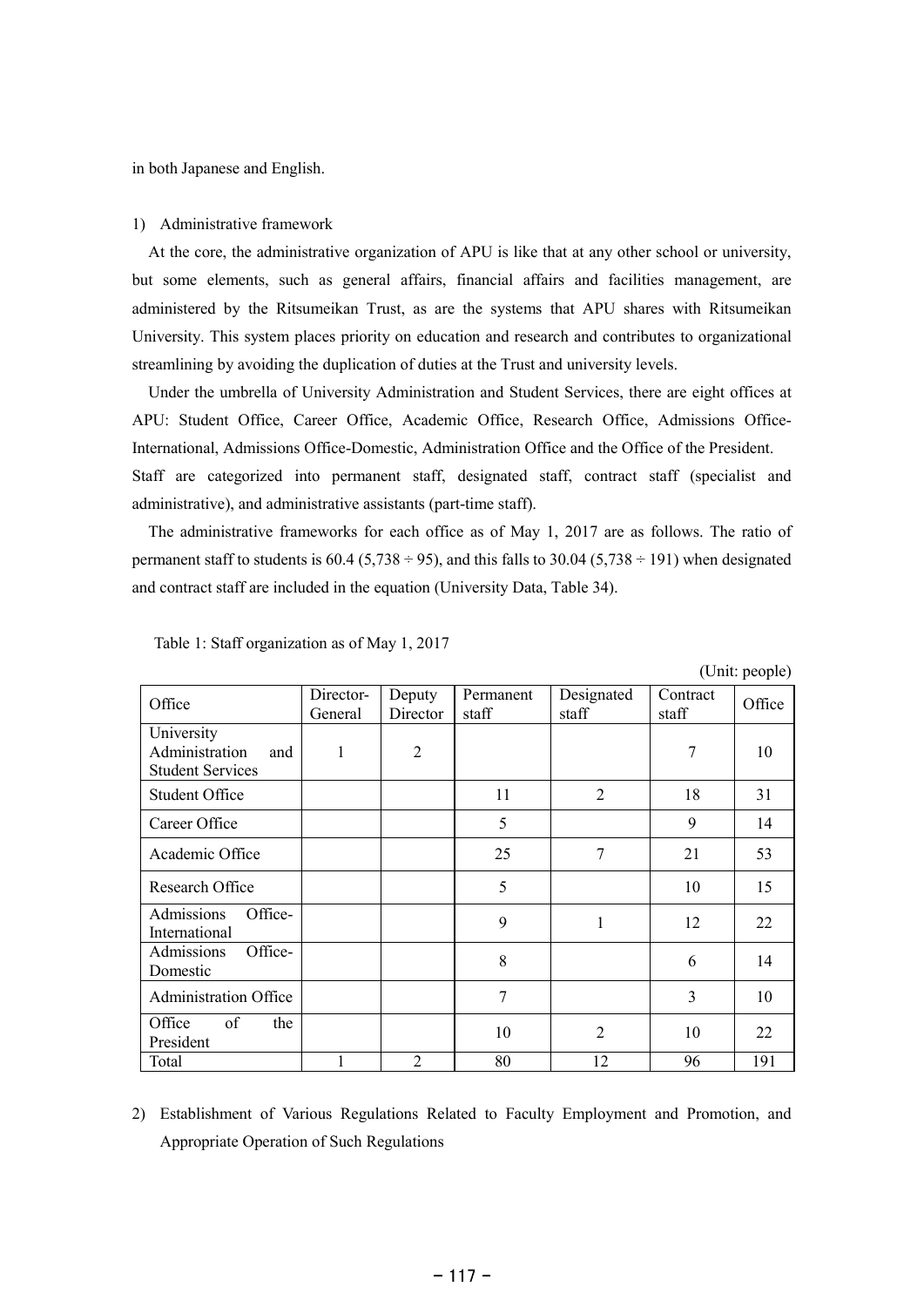in both Japanese and English.

### 1) Administrative framework

At the core, the administrative organization of APU is like that at any other school or university, but some elements, such as general affairs, financial affairs and facilities management, are administered by the Ritsumeikan Trust, as are the systems that APU shares with Ritsumeikan University. This system places priority on education and research and contributes to organizational streamlining by avoiding the duplication of duties at the Trust and university levels.

Under the umbrella of University Administration and Student Services, there are eight offices at APU: Student Office, Career Office, Academic Office, Research Office, Admissions Office-International, Admissions Office-Domestic, Administration Office and the Office of the President. Staff are categorized into permanent staff, designated staff, contract staff (specialist and administrative), and administrative assistants (part-time staff).

The administrative frameworks for each office as of May 1, 2017 are as follows. The ratio of permanent staff to students is  $60.4$  (5,738  $\div$  95), and this falls to 30.04 (5,738  $\div$  191) when designated and contract staff are included in the equation (University Data, Table 34).

 $(ensuremath{\mathsf{Unit:} \mathbf{n}})$ 

|                                                                |                      |                    |                    |                     |                   | $\overline{C}$ |
|----------------------------------------------------------------|----------------------|--------------------|--------------------|---------------------|-------------------|----------------|
| Office                                                         | Director-<br>General | Deputy<br>Director | Permanent<br>staff | Designated<br>staff | Contract<br>staff | Office         |
| University<br>Administration<br>and<br><b>Student Services</b> | 1                    | $\overline{2}$     |                    |                     | 7                 | 10             |
| <b>Student Office</b>                                          |                      |                    | 11                 | $\overline{2}$      | 18                | 31             |
| Career Office                                                  |                      |                    | 5                  |                     | 9                 | 14             |
| Academic Office                                                |                      |                    | 25                 | 7                   | 21                | 53             |
| Research Office                                                |                      |                    | 5                  |                     | 10                | 15             |
| Admissions<br>Office-<br>International                         |                      |                    | 9                  | 1                   | 12                | 22             |
| Admissions<br>Office-<br>Domestic                              |                      |                    | 8                  |                     | 6                 | 14             |
| <b>Administration Office</b>                                   |                      |                    | 7                  |                     | 3                 | 10             |
| of<br>Office<br>the<br>President                               |                      |                    | 10                 | $\overline{2}$      | 10                | 22             |
| Total                                                          |                      | $\overline{2}$     | 80                 | 12                  | 96                | 191            |

Table 1: Staff organization as of May 1, 2017

2) Establishment of Various Regulations Related to Faculty Employment and Promotion, and Appropriate Operation of Such Regulations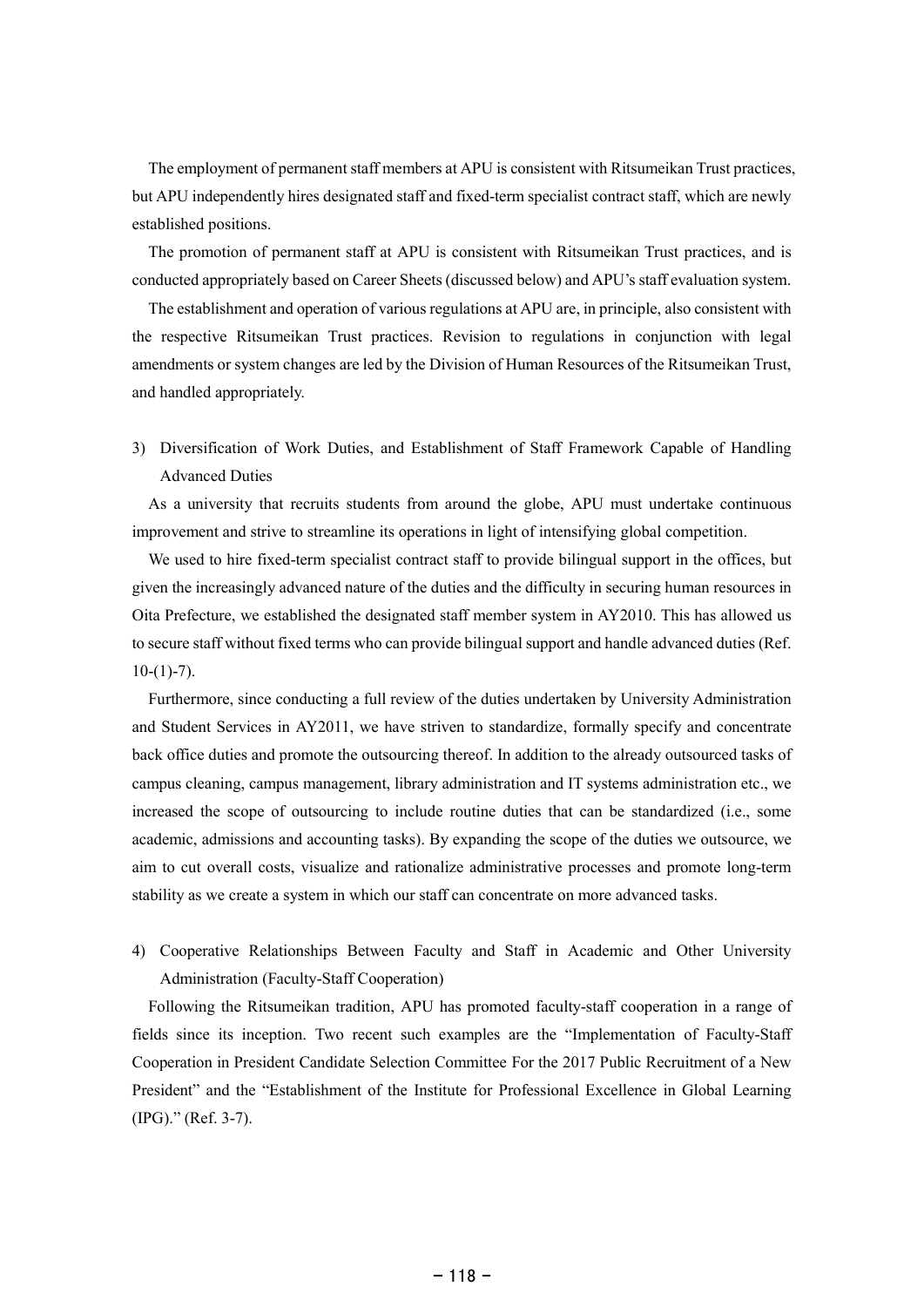The employment of permanent staff members at APU is consistent with Ritsumeikan Trust practices, but APU independently hires designated staff and fixed-term specialist contract staff, which are newly established positions.

The promotion of permanent staff at APU is consistent with Ritsumeikan Trust practices, and is conducted appropriately based on Career Sheets (discussed below) and APU's staff evaluation system.

The establishment and operation of various regulations at APU are, in principle, also consistent with the respective Ritsumeikan Trust practices. Revision to regulations in conjunction with legal amendments or system changes are led by the Division of Human Resources of the Ritsumeikan Trust, and handled appropriately.

3) Diversification of Work Duties, and Establishment of Staff Framework Capable of Handling Advanced Duties

As a university that recruits students from around the globe, APU must undertake continuous improvement and strive to streamline its operations in light of intensifying global competition.

We used to hire fixed-term specialist contract staff to provide bilingual support in the offices, but given the increasingly advanced nature of the duties and the difficulty in securing human resources in Oita Prefecture, we established the designated staff member system in AY2010. This has allowed us to secure staff without fixed terms who can provide bilingual support and handle advanced duties (Ref.  $10-(1)-7)$ .

Furthermore, since conducting a full review of the duties undertaken by University Administration and Student Services in AY2011, we have striven to standardize, formally specify and concentrate back office duties and promote the outsourcing thereof. In addition to the already outsourced tasks of campus cleaning, campus management, library administration and IT systems administration etc., we increased the scope of outsourcing to include routine duties that can be standardized (i.e., some academic, admissions and accounting tasks). By expanding the scope of the duties we outsource, we aim to cut overall costs, visualize and rationalize administrative processes and promote long-term stability as we create a system in which our staff can concentrate on more advanced tasks.

4) Cooperative Relationships Between Faculty and Staff in Academic and Other University Administration (Faculty-Staff Cooperation)

Following the Ritsumeikan tradition, APU has promoted faculty-staff cooperation in a range of fields since its inception. Two recent such examples are the "Implementation of Faculty-Staff Cooperation in President Candidate Selection Committee For the 2017 Public Recruitment of a New President" and the "Establishment of the Institute for Professional Excellence in Global Learning (IPG)." (Ref. 3-7).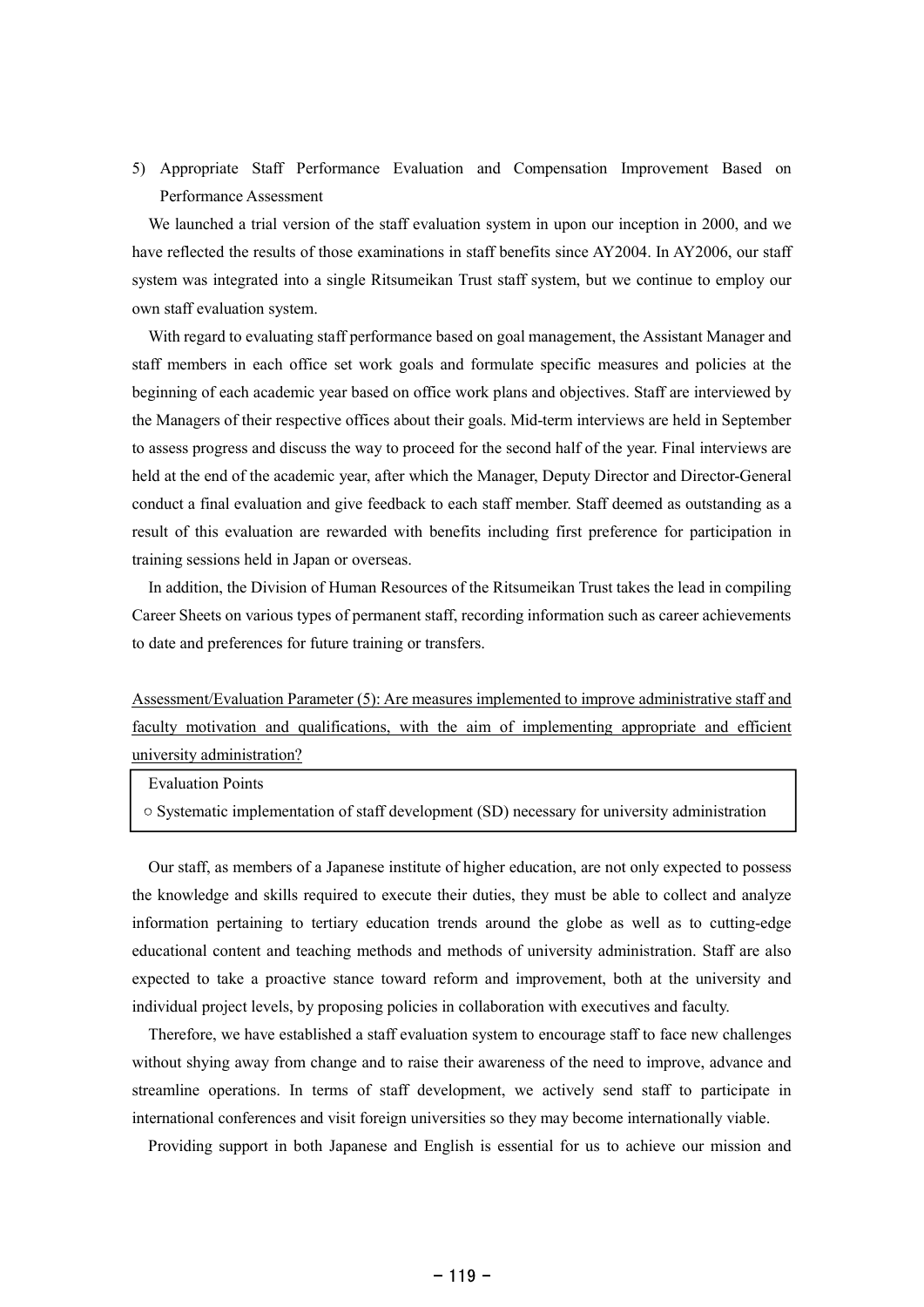5) Appropriate Staff Performance Evaluation and Compensation Improvement Based on Performance Assessment

We launched a trial version of the staff evaluation system in upon our inception in 2000, and we have reflected the results of those examinations in staff benefits since AY2004. In AY2006, our staff system was integrated into a single Ritsumeikan Trust staff system, but we continue to employ our own staff evaluation system.

With regard to evaluating staff performance based on goal management, the Assistant Manager and staff members in each office set work goals and formulate specific measures and policies at the beginning of each academic year based on office work plans and objectives. Staff are interviewed by the Managers of their respective offices about their goals. Mid-term interviews are held in September to assess progress and discuss the way to proceed for the second half of the year. Final interviews are held at the end of the academic year, after which the Manager, Deputy Director and Director-General conduct a final evaluation and give feedback to each staff member. Staff deemed as outstanding as a result of this evaluation are rewarded with benefits including first preference for participation in training sessions held in Japan or overseas.

In addition, the Division of Human Resources of the Ritsumeikan Trust takes the lead in compiling Career Sheets on various types of permanent staff, recording information such as career achievements to date and preferences for future training or transfers.

Assessment/Evaluation Parameter (5): Are measures implemented to improve administrative staff and faculty motivation and qualifications, with the aim of implementing appropriate and efficient university administration?

Evaluation Points

 $\circ$  Systematic implementation of staff development (SD) necessary for university administration

Our staff, as members of a Japanese institute of higher education, are not only expected to possess the knowledge and skills required to execute their duties, they must be able to collect and analyze information pertaining to tertiary education trends around the globe as well as to cutting-edge educational content and teaching methods and methods of university administration. Staff are also expected to take a proactive stance toward reform and improvement, both at the university and individual project levels, by proposing policies in collaboration with executives and faculty.

Therefore, we have established a staff evaluation system to encourage staff to face new challenges without shying away from change and to raise their awareness of the need to improve, advance and streamline operations. In terms of staff development, we actively send staff to participate in international conferences and visit foreign universities so they may become internationally viable.

Providing support in both Japanese and English is essential for us to achieve our mission and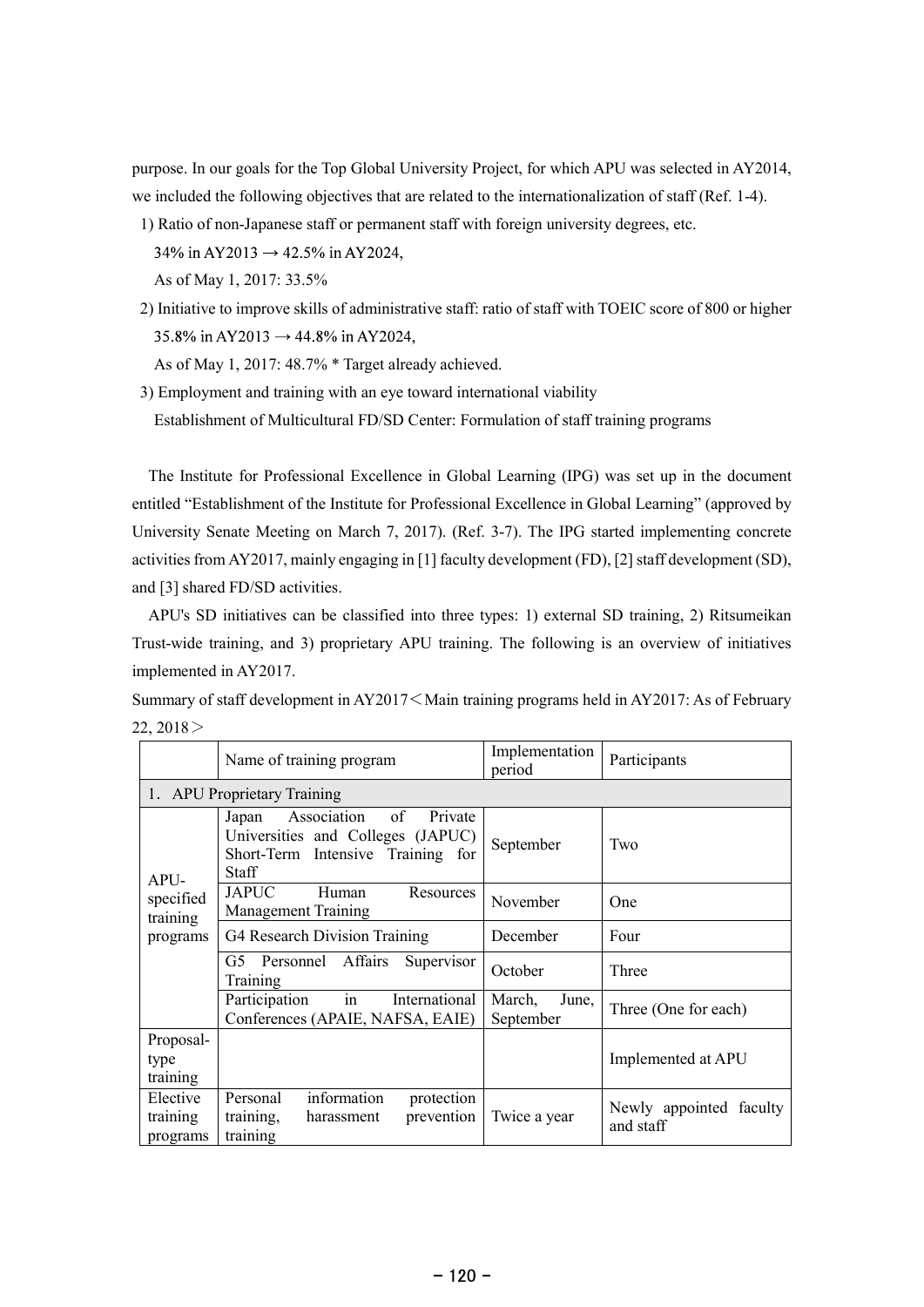purpose. In our goals for the Top Global University Project, for which APU was selected in AY2014, we included the following objectives that are related to the internationalization of staff (Ref. 1-4).

1) Ratio of non-Japanese staff or permanent staff with foreign university degrees, etc. 34% in AY2013  $\rightarrow$  42.5% in AY2024,

As of May 1, 2017: 33.5%

2) Initiative to improve skills of administrative staff: ratio of staff with TOEIC score of 800 or higher 35.8% in AY2013  $\rightarrow$  44.8% in AY2024,

As of May 1, 2017: 48.7% \* Target already achieved.

3) Employment and training with an eye toward international viability Establishment of Multicultural FD/SD Center: Formulation of staff training programs

The Institute for Professional Excellence in Global Learning (IPG) was set up in the document entitled "Establishment of the Institute for Professional Excellence in Global Learning" (approved by University Senate Meeting on March 7, 2017). (Ref. 3-7). The IPG started implementing concrete activities from AY2017, mainly engaging in [1] faculty development (FD), [2] staff development (SD), and [3] shared FD/SD activities.

APU's SD initiatives can be classified into three types: 1) external SD training, 2) Ritsumeikan Trust-wide training, and 3) proprietary APU training. The following is an overview of initiatives implemented in AY2017.

Summary of staff development in AY2017 Main training programs held in AY2017: As of February  $22, 2018$ 

|                                  | Name of training program                                                                                                 | Implementation<br>period     | Participants                         |  |
|----------------------------------|--------------------------------------------------------------------------------------------------------------------------|------------------------------|--------------------------------------|--|
|                                  | 1. APU Proprietary Training                                                                                              |                              |                                      |  |
| APU-                             | of<br>Private<br>Association<br>Japan<br>Universities and Colleges (JAPUC)<br>Short-Term Intensive Training for<br>Staff | September                    | Two                                  |  |
| specified<br>training            | <b>JAPUC</b><br>Human<br>Resources<br><b>Management Training</b>                                                         | November                     | One                                  |  |
| programs                         | G4 Research Division Training                                                                                            | December                     | Four                                 |  |
|                                  | G5 Personnel Affairs<br>Supervisor<br>Training                                                                           | October                      | Three                                |  |
|                                  | in<br>International<br>Participation<br>Conferences (APAIE, NAFSA, EAIE)                                                 | March,<br>June,<br>September | Three (One for each)                 |  |
| Proposal-<br>type<br>training    |                                                                                                                          |                              | Implemented at APU                   |  |
| Elective<br>training<br>programs | information<br>Personal<br>protection<br>prevention<br>harassment<br>training,<br>training                               | Twice a year                 | Newly appointed faculty<br>and staff |  |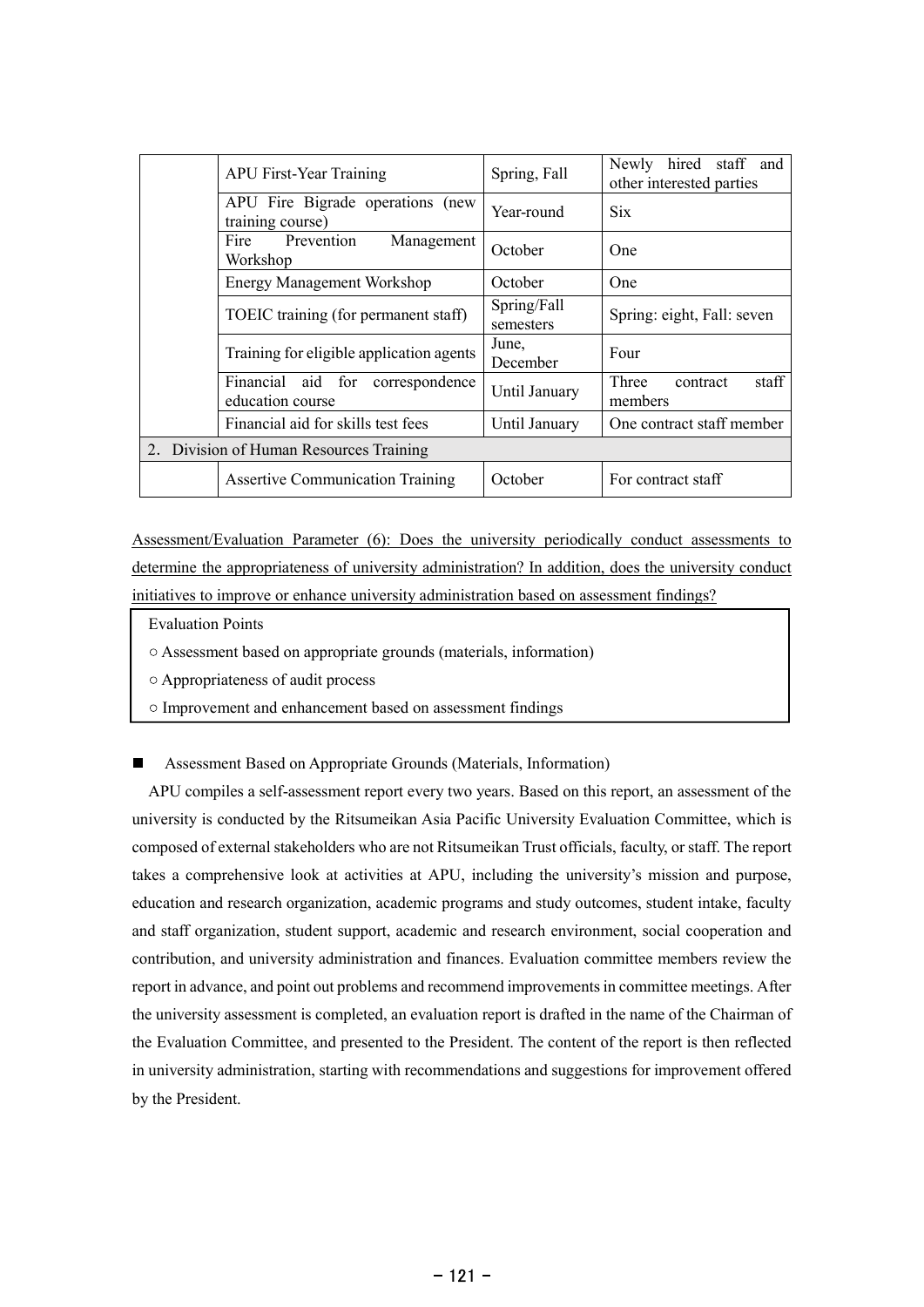| <b>APU First-Year Training</b>                          | Spring, Fall             | Newly hired staff and<br>other interested parties |
|---------------------------------------------------------|--------------------------|---------------------------------------------------|
| APU Fire Bigrade operations (new<br>training course)    | Year-round               | <b>Six</b>                                        |
| Prevention<br>Fire<br>Management<br>Workshop            | October                  | One                                               |
| <b>Energy Management Workshop</b>                       | October                  | One                                               |
| TOEIC training (for permanent staff)                    | Spring/Fall<br>semesters | Spring: eight, Fall: seven                        |
| Training for eligible application agents                | June,<br>December        | Four                                              |
| Financial aid for<br>correspondence<br>education course | Until January            | staff<br>Three<br>contract<br>members             |
| Financial aid for skills test fees                      | Until January            | One contract staff member                         |
| 2. Division of Human Resources Training                 |                          |                                                   |
| <b>Assertive Communication Training</b>                 | October                  | For contract staff                                |

Assessment/Evaluation Parameter (6): Does the university periodically conduct assessments to determine the appropriateness of university administration? In addition, does the university conduct initiatives to improve or enhance university administration based on assessment findings?

- Evaluation Points
- Assessment based on appropriate grounds (materials, information)
- Appropriateness of audit process
- Improvement and enhancement based on assessment findings

Assessment Based on Appropriate Grounds (Materials, Information)

APU compiles a self-assessment report every two years. Based on this report, an assessment of the university is conducted by the Ritsumeikan Asia Pacific University Evaluation Committee, which is composed of external stakeholders who are not Ritsumeikan Trust officials, faculty, orstaff. The report takes a comprehensive look at activities at APU, including the university's mission and purpose, education and research organization, academic programs and study outcomes, student intake, faculty and staff organization, student support, academic and research environment, social cooperation and contribution, and university administration and finances. Evaluation committee members review the report in advance, and point out problems and recommend improvementsin committee meetings. After the university assessment is completed, an evaluation report is drafted in the name of the Chairman of the Evaluation Committee, and presented to the President. The content of the report is then reflected in university administration, starting with recommendations and suggestions for improvement offered by the President.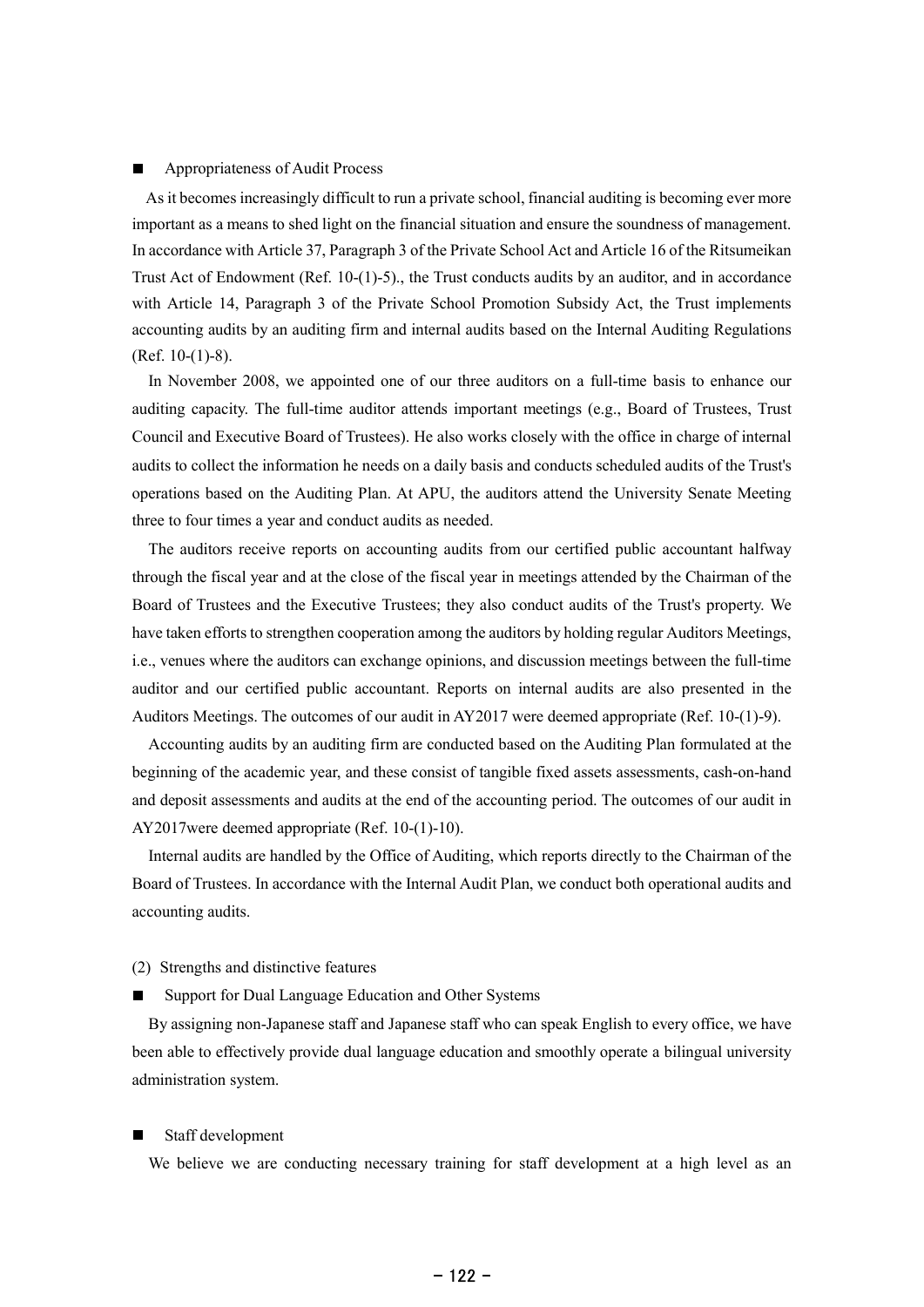### Appropriateness of Audit Process

As it becomes increasingly difficult to run a private school, financial auditing is becoming ever more important as a means to shed light on the financial situation and ensure the soundness of management. In accordance with Article 37, Paragraph 3 of the Private School Act and Article 16 of the Ritsumeikan Trust Act of Endowment (Ref. 10-(1)-5)., the Trust conducts audits by an auditor, and in accordance with Article 14, Paragraph 3 of the Private School Promotion Subsidy Act, the Trust implements accounting audits by an auditing firm and internal audits based on the Internal Auditing Regulations (Ref. 10-(1)-8).

In November 2008, we appointed one of our three auditors on a full-time basis to enhance our auditing capacity. The full-time auditor attends important meetings (e.g., Board of Trustees, Trust Council and Executive Board of Trustees). He also works closely with the office in charge of internal audits to collect the information he needs on a daily basis and conducts scheduled audits of the Trust's operations based on the Auditing Plan. At APU, the auditors attend the University Senate Meeting three to four times a year and conduct audits as needed.

The auditors receive reports on accounting audits from our certified public accountant halfway through the fiscal year and at the close of the fiscal year in meetings attended by the Chairman of the Board of Trustees and the Executive Trustees; they also conduct audits of the Trust's property. We have taken efforts to strengthen cooperation among the auditors by holding regular Auditors Meetings, i.e., venues where the auditors can exchange opinions, and discussion meetings between the full-time auditor and our certified public accountant. Reports on internal audits are also presented in the Auditors Meetings. The outcomes of our audit in AY2017 were deemed appropriate (Ref. 10-(1)-9).

Accounting audits by an auditing firm are conducted based on the Auditing Plan formulated at the beginning of the academic year, and these consist of tangible fixed assets assessments, cash-on-hand and deposit assessments and audits at the end of the accounting period. The outcomes of our audit in AY2017were deemed appropriate (Ref. 10-(1)-10).

Internal audits are handled by the Office of Auditing, which reports directly to the Chairman of the Board of Trustees. In accordance with the Internal Audit Plan, we conduct both operational audits and accounting audits.

## (2) Strengths and distinctive features

Support for Dual Language Education and Other Systems

By assigning non-Japanese staff and Japanese staff who can speak English to every office, we have been able to effectively provide dual language education and smoothly operate a bilingual university administration system.

### Staff development

We believe we are conducting necessary training for staff development at a high level as an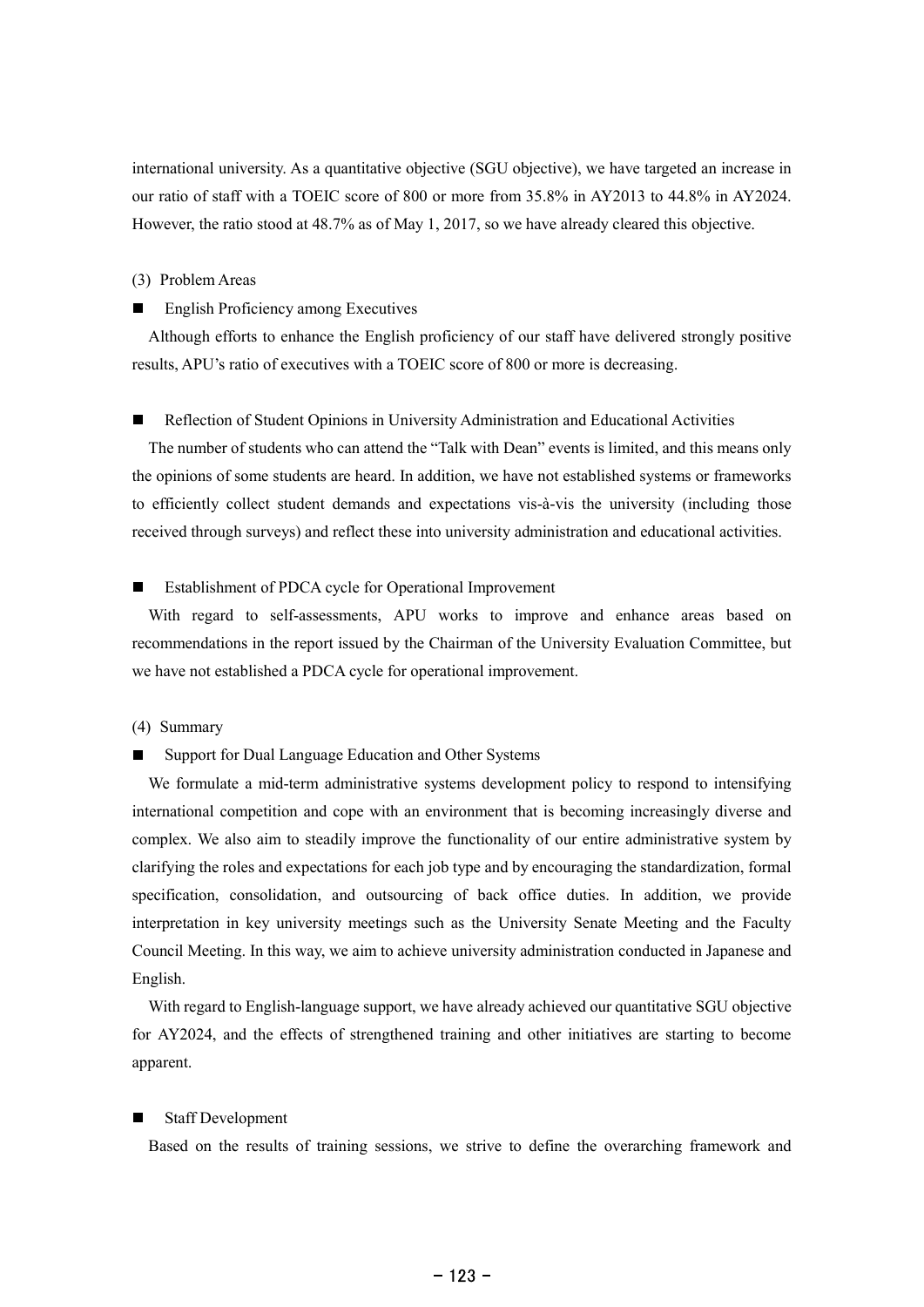international university. As a quantitative objective (SGU objective), we have targeted an increase in our ratio of staff with a TOEIC score of 800 or more from 35.8% in AY2013 to 44.8% in AY2024. However, the ratio stood at 48.7% as of May 1, 2017, so we have already cleared this objective.

## (3) Problem Areas

#### $\blacksquare$ English Proficiency among Executives

Although efforts to enhance the English proficiency of our staff have delivered strongly positive results, APU's ratio of executives with a TOEIC score of 800 or more is decreasing.

## Reflection of Student Opinions in University Administration and Educational Activities

The number of students who can attend the "Talk with Dean" events is limited, and this means only the opinions of some students are heard. In addition, we have not established systems or frameworks to efficiently collect student demands and expectations vis-à-vis the university (including those received through surveys) and reflect these into university administration and educational activities.

## Establishment of PDCA cycle for Operational Improvement

With regard to self-assessments, APU works to improve and enhance areas based on recommendations in the report issued by the Chairman of the University Evaluation Committee, but we have not established a PDCA cycle for operational improvement.

### (4) Summary

#### Support for Dual Language Education and Other Systems П

We formulate a mid-term administrative systems development policy to respond to intensifying international competition and cope with an environment that is becoming increasingly diverse and complex. We also aim to steadily improve the functionality of our entire administrative system by clarifying the roles and expectations for each job type and by encouraging the standardization, formal specification, consolidation, and outsourcing of back office duties. In addition, we provide interpretation in key university meetings such as the University Senate Meeting and the Faculty Council Meeting. In this way, we aim to achieve university administration conducted in Japanese and English.

With regard to English-language support, we have already achieved our quantitative SGU objective for AY2024, and the effects of strengthened training and other initiatives are starting to become apparent.

## Staff Development

Based on the results of training sessions, we strive to define the overarching framework and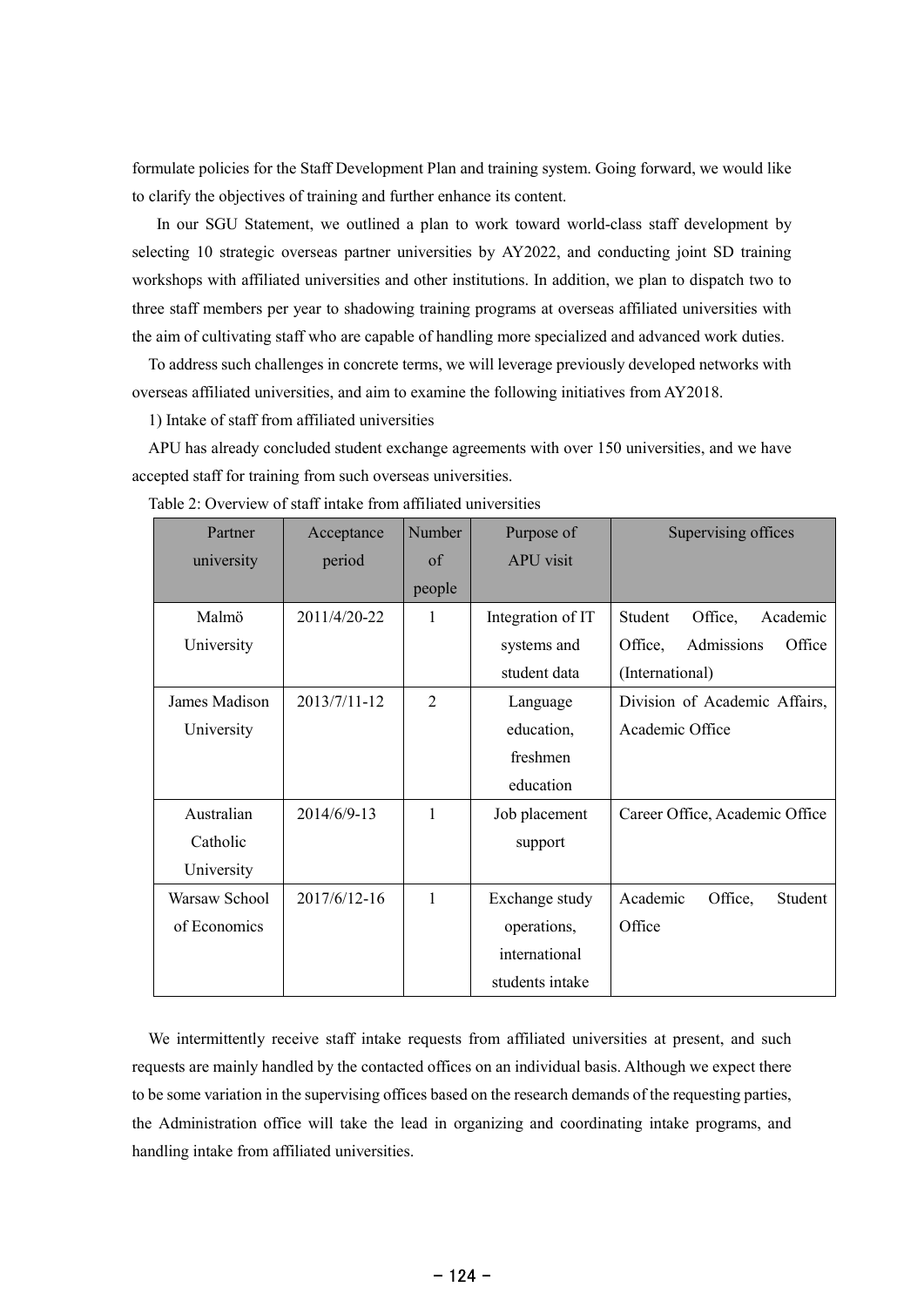formulate policies for the Staff Development Plan and training system. Going forward, we would like to clarify the objectives of training and further enhance its content.

In our SGU Statement, we outlined a plan to work toward world-class staff development by selecting 10 strategic overseas partner universities by AY2022, and conducting joint SD training workshops with affiliated universities and other institutions. In addition, we plan to dispatch two to three staff members per year to shadowing training programs at overseas affiliated universities with the aim of cultivating staff who are capable of handling more specialized and advanced work duties.

To address such challenges in concrete terms, we will leverage previously developed networks with overseas affiliated universities, and aim to examine the following initiatives from AY2018.

1) Intake of staff from affiliated universities

APU has already concluded student exchange agreements with over 150 universities, and we have accepted staff for training from such overseas universities.

| Partner       | Acceptance   | <b>Number</b>  | Purpose of        | Supervising offices             |
|---------------|--------------|----------------|-------------------|---------------------------------|
| university    | period       | $\alpha$ f     | <b>APU</b> visit  |                                 |
|               |              | people         |                   |                                 |
| Malmö         | 2011/4/20-22 | $\mathbf{1}$   | Integration of IT | Office,<br>Student<br>Academic  |
| University    |              |                | systems and       | Admissions<br>Office<br>Office, |
|               |              |                | student data      | (International)                 |
| James Madison | 2013/7/11-12 | $\overline{2}$ | Language          | Division of Academic Affairs,   |
| University    |              |                | education,        | Academic Office                 |
|               |              |                | freshmen          |                                 |
|               |              |                | education         |                                 |
| Australian    | 2014/6/9-13  | $\mathbf{1}$   | Job placement     | Career Office, Academic Office  |
| Catholic      |              |                | support           |                                 |
| University    |              |                |                   |                                 |
| Warsaw School | 2017/6/12-16 | 1              | Exchange study    | Academic<br>Office,<br>Student  |
| of Economics  |              |                | operations,       | Office                          |
|               |              |                | international     |                                 |
|               |              |                | students intake   |                                 |

Table 2: Overview of staff intake from affiliated universities

We intermittently receive staff intake requests from affiliated universities at present, and such requests are mainly handled by the contacted offices on an individual basis. Although we expect there to be some variation in the supervising offices based on the research demands of the requesting parties, the Administration office will take the lead in organizing and coordinating intake programs, and handling intake from affiliated universities.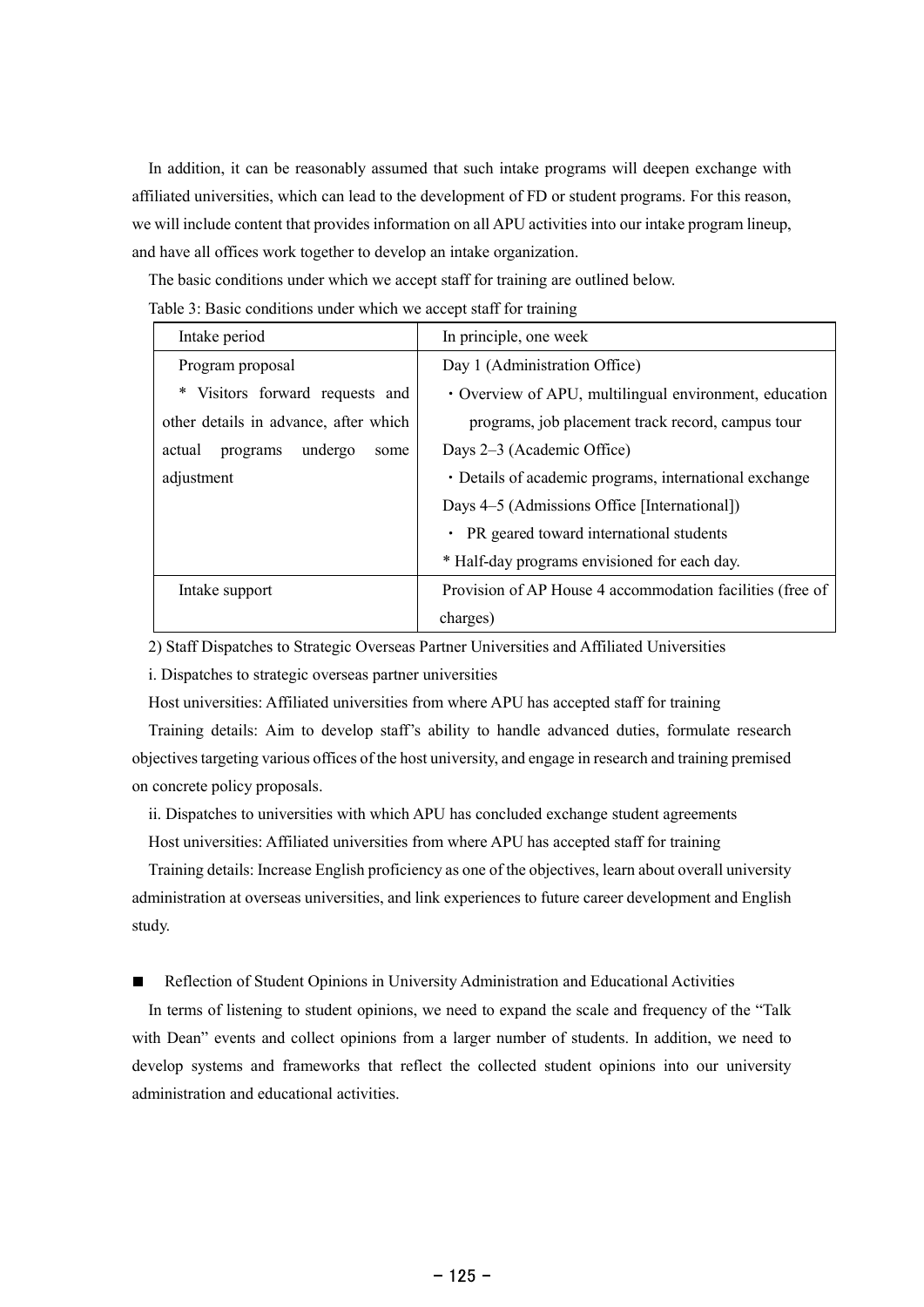In addition, it can be reasonably assumed that such intake programs will deepen exchange with affiliated universities, which can lead to the development of FD or student programs. For this reason, we will include content that provides information on all APU activities into our intake program lineup, and have all offices work together to develop an intake organization.

The basic conditions under which we accept staff for training are outlined below.

Table 3: Basic conditions under which we accept staff for training

| Intake period                         | In principle, one week                                    |  |  |
|---------------------------------------|-----------------------------------------------------------|--|--|
| Program proposal                      | Day 1 (Administration Office)                             |  |  |
| * Visitors forward requests and       | • Overview of APU, multilingual environment, education    |  |  |
| other details in advance, after which | programs, job placement track record, campus tour         |  |  |
| undergo<br>actual<br>programs<br>some | Days 2–3 (Academic Office)                                |  |  |
| adjustment                            | • Details of academic programs, international exchange    |  |  |
|                                       | Days 4–5 (Admissions Office [International])              |  |  |
|                                       | • PR geared toward international students                 |  |  |
|                                       | * Half-day programs envisioned for each day.              |  |  |
| Intake support                        | Provision of AP House 4 accommodation facilities (free of |  |  |
|                                       | charges)                                                  |  |  |

2) Staff Dispatches to Strategic Overseas Partner Universities and Affiliated Universities

i. Dispatches to strategic overseas partner universities

Host universities: Affiliated universities from where APU has accepted staff for training

Training details: Aim to develop staff's ability to handle advanced duties, formulate research objectivestargeting various offices of the host university, and engage in research and training premised on concrete policy proposals.

ii. Dispatches to universities with which APU has concluded exchange student agreements

Host universities: Affiliated universities from where APU has accepted staff for training

Training details: Increase English proficiency as one of the objectives, learn about overall university administration at overseas universities, and link experiences to future career development and English study.

Reflection of Student Opinions in University Administration and Educational Activities  $\blacksquare$ 

In terms of listening to student opinions, we need to expand the scale and frequency of the "Talk with Dean" events and collect opinions from a larger number of students. In addition, we need to develop systems and frameworks that reflect the collected student opinions into our university administration and educational activities.